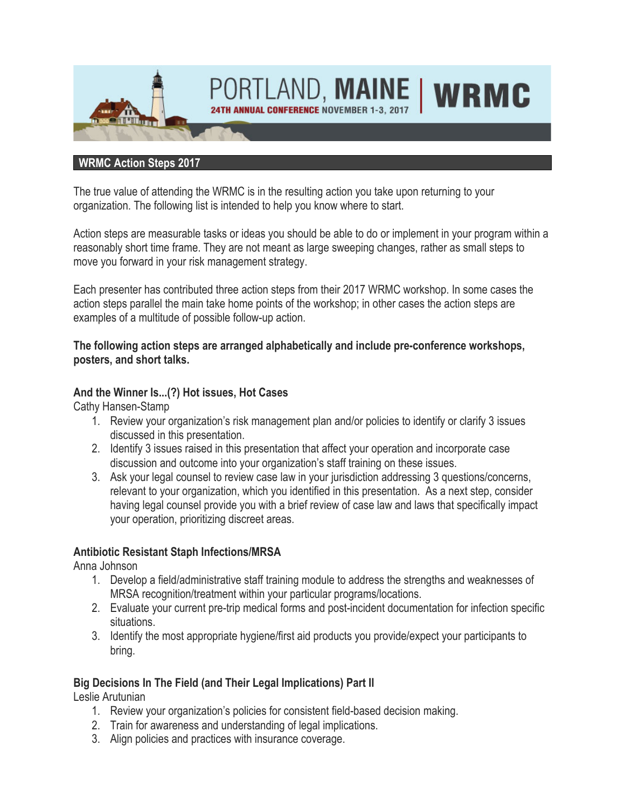

#### **WRMC Action Steps 2017**

The true value of attending the WRMC is in the resulting action you take upon returning to your organization. The following list is intended to help you know where to start.

Action steps are measurable tasks or ideas you should be able to do or implement in your program within a reasonably short time frame. They are not meant as large sweeping changes, rather as small steps to move you forward in your risk management strategy.

Each presenter has contributed three action steps from their 2017 WRMC workshop. In some cases the action steps parallel the main take home points of the workshop; in other cases the action steps are examples of a multitude of possible follow-up action.

#### **The following action steps are arranged alphabetically and include pre-conference workshops, posters, and short talks.**

#### **And the Winner Is...(?) Hot issues, Hot Cases**

Cathy Hansen-Stamp

- 1. Review your organization's risk management plan and/or policies to identify or clarify 3 issues discussed in this presentation.
- 2. Identify 3 issues raised in this presentation that affect your operation and incorporate case discussion and outcome into your organization's staff training on these issues.
- 3. Ask your legal counsel to review case law in your jurisdiction addressing 3 questions/concerns, relevant to your organization, which you identified in this presentation. As a next step, consider having legal counsel provide you with a brief review of case law and laws that specifically impact your operation, prioritizing discreet areas.

#### **Antibiotic Resistant Staph Infections/MRSA**

Anna Johnson

- 1. Develop a field/administrative staff training module to address the strengths and weaknesses of MRSA recognition/treatment within your particular programs/locations.
- 2. Evaluate your current pre-trip medical forms and post-incident documentation for infection specific situations.
- 3. Identify the most appropriate hygiene/first aid products you provide/expect your participants to bring.

#### **Big Decisions In The Field (and Their Legal Implications) Part II**

Leslie Arutunian

- 1. Review your organization's policies for consistent field-based decision making.
- 2. Train for awareness and understanding of legal implications.
- 3. Align policies and practices with insurance coverage.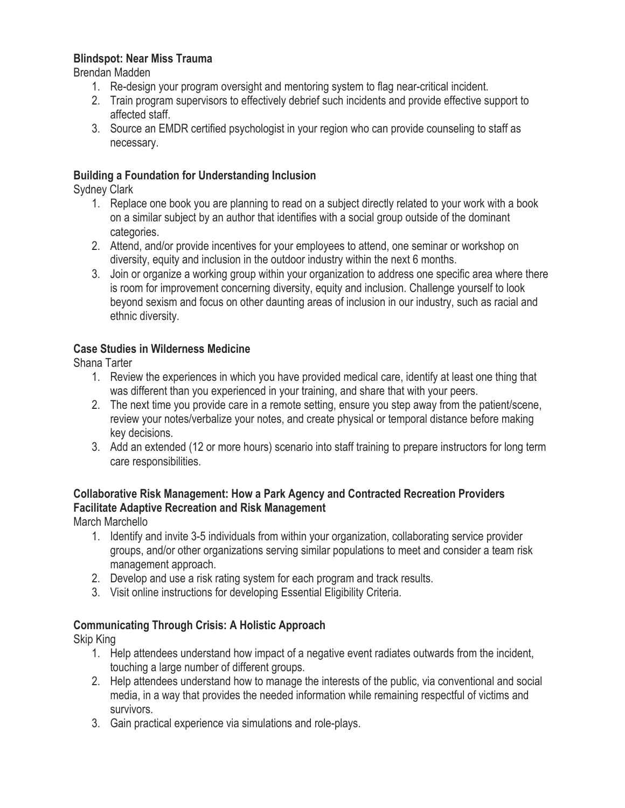#### **Blindspot: Near Miss Trauma**

Brendan Madden

- 1. Re-design your program oversight and mentoring system to flag near-critical incident.
- 2. Train program supervisors to effectively debrief such incidents and provide effective support to affected staff.
- 3. Source an EMDR certified psychologist in your region who can provide counseling to staff as necessary.

#### **Building a Foundation for Understanding Inclusion**

Sydney Clark

- 1. Replace one book you are planning to read on a subject directly related to your work with a book on a similar subject by an author that identifies with a social group outside of the dominant categories.
- 2. Attend, and/or provide incentives for your employees to attend, one seminar or workshop on diversity, equity and inclusion in the outdoor industry within the next 6 months.
- 3. Join or organize a working group within your organization to address one specific area where there is room for improvement concerning diversity, equity and inclusion. Challenge yourself to look beyond sexism and focus on other daunting areas of inclusion in our industry, such as racial and ethnic diversity.

#### **Case Studies in Wilderness Medicine**

Shana Tarter

- 1. Review the experiences in which you have provided medical care, identify at least one thing that was different than you experienced in your training, and share that with your peers.
- 2. The next time you provide care in a remote setting, ensure you step away from the patient/scene, review your notes/verbalize your notes, and create physical or temporal distance before making key decisions.
- 3. Add an extended (12 or more hours) scenario into staff training to prepare instructors for long term care responsibilities.

#### **Collaborative Risk Management: How a Park Agency and Contracted Recreation Providers Facilitate Adaptive Recreation and Risk Management**

March Marchello

- 1. Identify and invite 3-5 individuals from within your organization, collaborating service provider groups, and/or other organizations serving similar populations to meet and consider a team risk management approach.
- 2. Develop and use a risk rating system for each program and track results.
- 3. Visit online instructions for developing Essential Eligibility Criteria.

#### **Communicating Through Crisis: A Holistic Approach**

Skip King

- 1. Help attendees understand how impact of a negative event radiates outwards from the incident, touching a large number of different groups.
- 2. Help attendees understand how to manage the interests of the public, via conventional and social media, in a way that provides the needed information while remaining respectful of victims and survivors.
- 3. Gain practical experience via simulations and role-plays.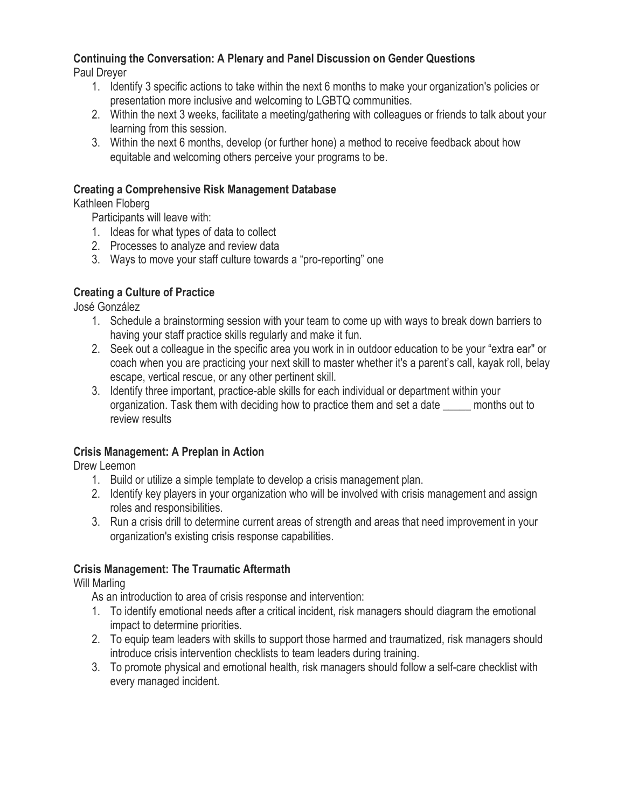## **Continuing the Conversation: A Plenary and Panel Discussion on Gender Questions**

Paul Dreyer

- 1. Identify 3 specific actions to take within the next 6 months to make your organization's policies or presentation more inclusive and welcoming to LGBTQ communities.
- 2. Within the next 3 weeks, facilitate a meeting/gathering with colleagues or friends to talk about your learning from this session.
- 3. Within the next 6 months, develop (or further hone) a method to receive feedback about how equitable and welcoming others perceive your programs to be.

## **Creating a Comprehensive Risk Management Database**

Kathleen Floberg

Participants will leave with:

- 1. Ideas for what types of data to collect
- 2. Processes to analyze and review data
- 3. Ways to move your staff culture towards a "pro-reporting" one

## **Creating a Culture of Practice**

José González

- 1. Schedule a brainstorming session with your team to come up with ways to break down barriers to having your staff practice skills regularly and make it fun.
- 2. Seek out a colleague in the specific area you work in in outdoor education to be your "extra ear" or coach when you are practicing your next skill to master whether it's a parent's call, kayak roll, belay escape, vertical rescue, or any other pertinent skill.
- 3. Identify three important, practice-able skills for each individual or department within your organization. Task them with deciding how to practice them and set a date \_\_\_\_\_ months out to review results

## **Crisis Management: A Preplan in Action**

Drew Leemon

- 1. Build or utilize a simple template to develop a crisis management plan.
- 2. Identify key players in your organization who will be involved with crisis management and assign roles and responsibilities.
- 3. Run a crisis drill to determine current areas of strength and areas that need improvement in your organization's existing crisis response capabilities.

## **Crisis Management: The Traumatic Aftermath**

Will Marling

As an introduction to area of crisis response and intervention:

- 1. To identify emotional needs after a critical incident, risk managers should diagram the emotional impact to determine priorities.
- 2. To equip team leaders with skills to support those harmed and traumatized, risk managers should introduce crisis intervention checklists to team leaders during training.
- 3. To promote physical and emotional health, risk managers should follow a self-care checklist with every managed incident.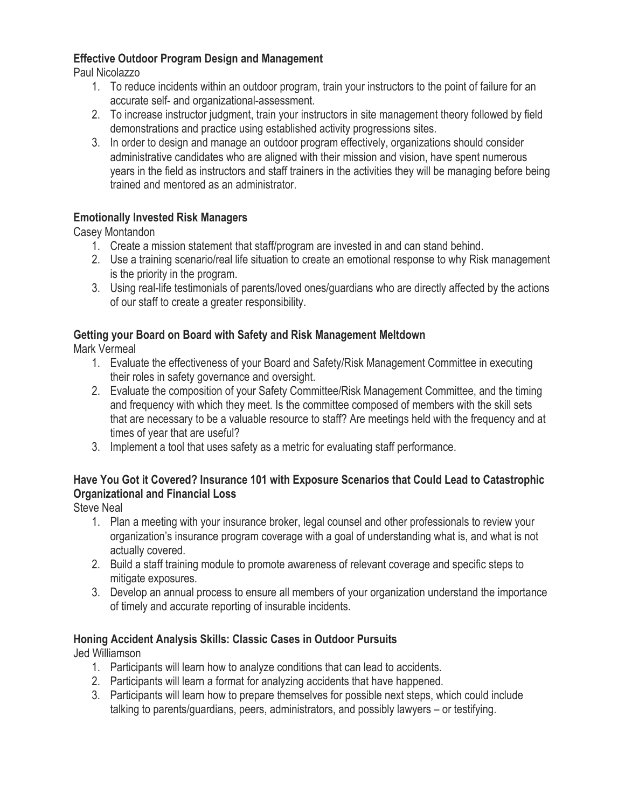#### **Effective Outdoor Program Design and Management**

Paul Nicolazzo

- 1. To reduce incidents within an outdoor program, train your instructors to the point of failure for an accurate self- and organizational-assessment.
- 2. To increase instructor judgment, train your instructors in site management theory followed by field demonstrations and practice using established activity progressions sites.
- 3. In order to design and manage an outdoor program effectively, organizations should consider administrative candidates who are aligned with their mission and vision, have spent numerous years in the field as instructors and staff trainers in the activities they will be managing before being trained and mentored as an administrator.

## **Emotionally Invested Risk Managers**

Casey Montandon

- 1. Create a mission statement that staff/program are invested in and can stand behind.
- 2. Use a training scenario/real life situation to create an emotional response to why Risk management is the priority in the program.
- 3. Using real-life testimonials of parents/loved ones/guardians who are directly affected by the actions of our staff to create a greater responsibility.

## **Getting your Board on Board with Safety and Risk Management Meltdown**

Mark Vermeal

- 1. Evaluate the effectiveness of your Board and Safety/Risk Management Committee in executing their roles in safety governance and oversight.
- 2. Evaluate the composition of your Safety Committee/Risk Management Committee, and the timing and frequency with which they meet. Is the committee composed of members with the skill sets that are necessary to be a valuable resource to staff? Are meetings held with the frequency and at times of year that are useful?
- 3. Implement a tool that uses safety as a metric for evaluating staff performance.

## **Have You Got it Covered? Insurance 101 with Exposure Scenarios that Could Lead to Catastrophic Organizational and Financial Loss**

Steve Neal

- 1. Plan a meeting with your insurance broker, legal counsel and other professionals to review your organization's insurance program coverage with a goal of understanding what is, and what is not actually covered.
- 2. Build a staff training module to promote awareness of relevant coverage and specific steps to mitigate exposures.
- 3. Develop an annual process to ensure all members of your organization understand the importance of timely and accurate reporting of insurable incidents.

## **Honing Accident Analysis Skills: Classic Cases in Outdoor Pursuits**

Jed Williamson

- 1. Participants will learn how to analyze conditions that can lead to accidents.
- 2. Participants will learn a format for analyzing accidents that have happened.
- 3. Participants will learn how to prepare themselves for possible next steps, which could include talking to parents/guardians, peers, administrators, and possibly lawyers – or testifying.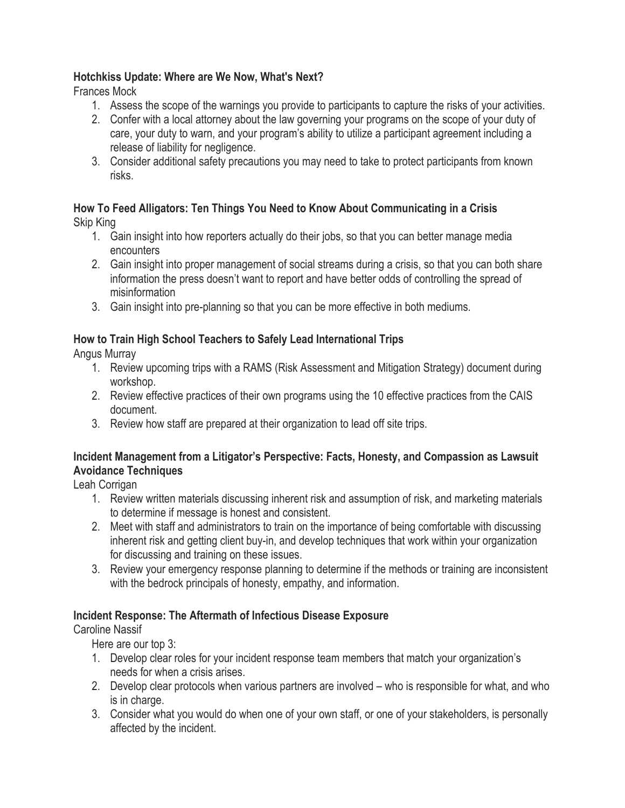#### **Hotchkiss Update: Where are We Now, What's Next?**

Frances Mock

- 1. Assess the scope of the warnings you provide to participants to capture the risks of your activities.
- 2. Confer with a local attorney about the law governing your programs on the scope of your duty of care, your duty to warn, and your program's ability to utilize a participant agreement including a release of liability for negligence.
- 3. Consider additional safety precautions you may need to take to protect participants from known risks.

# **How To Feed Alligators: Ten Things You Need to Know About Communicating in a Crisis**

Skip King

- 1. Gain insight into how reporters actually do their jobs, so that you can better manage media encounters
- 2. Gain insight into proper management of social streams during a crisis, so that you can both share information the press doesn't want to report and have better odds of controlling the spread of misinformation
- 3. Gain insight into pre-planning so that you can be more effective in both mediums.

## **How to Train High School Teachers to Safely Lead International Trips**

Angus Murray

- 1. Review upcoming trips with a RAMS (Risk Assessment and Mitigation Strategy) document during workshop.
- 2. Review effective practices of their own programs using the 10 effective practices from the CAIS document.
- 3. Review how staff are prepared at their organization to lead off site trips.

## **Incident Management from a Litigator's Perspective: Facts, Honesty, and Compassion as Lawsuit Avoidance Techniques**

Leah Corrigan

- 1. Review written materials discussing inherent risk and assumption of risk, and marketing materials to determine if message is honest and consistent.
- 2. Meet with staff and administrators to train on the importance of being comfortable with discussing inherent risk and getting client buy-in, and develop techniques that work within your organization for discussing and training on these issues.
- 3. Review your emergency response planning to determine if the methods or training are inconsistent with the bedrock principals of honesty, empathy, and information.

## **Incident Response: The Aftermath of Infectious Disease Exposure**

Caroline Nassif

Here are our top 3:

- 1. Develop clear roles for your incident response team members that match your organization's needs for when a crisis arises.
- 2. Develop clear protocols when various partners are involved who is responsible for what, and who is in charge.
- 3. Consider what you would do when one of your own staff, or one of your stakeholders, is personally affected by the incident.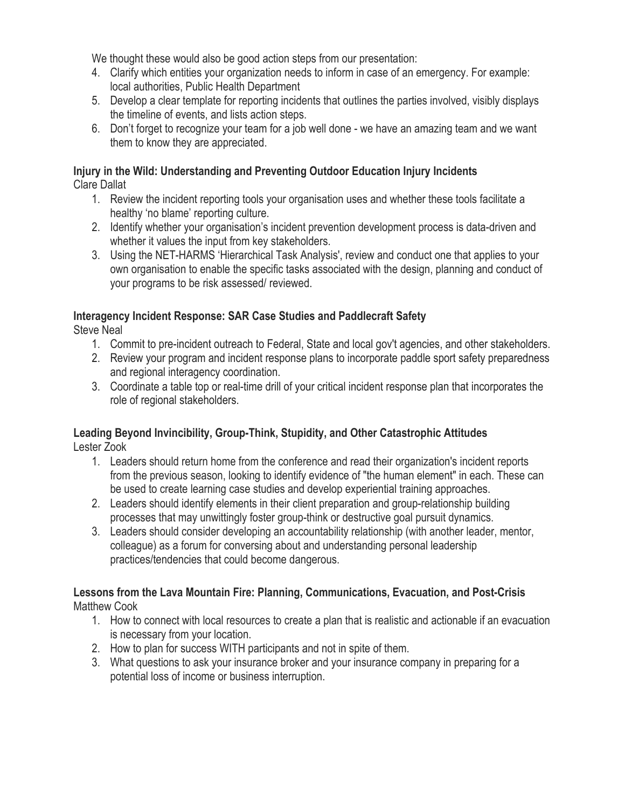We thought these would also be good action steps from our presentation:

- 4. Clarify which entities your organization needs to inform in case of an emergency. For example: local authorities, Public Health Department
- 5. Develop a clear template for reporting incidents that outlines the parties involved, visibly displays the timeline of events, and lists action steps.
- 6. Don't forget to recognize your team for a job well done we have an amazing team and we want them to know they are appreciated.

#### **Injury in the Wild: Understanding and Preventing Outdoor Education Injury Incidents** Clare Dallat

- 1. Review the incident reporting tools your organisation uses and whether these tools facilitate a healthy 'no blame' reporting culture.
- 2. Identify whether your organisation's incident prevention development process is data-driven and whether it values the input from key stakeholders.
- 3. Using the NET-HARMS 'Hierarchical Task Analysis', review and conduct one that applies to your own organisation to enable the specific tasks associated with the design, planning and conduct of your programs to be risk assessed/ reviewed.

#### **Interagency Incident Response: SAR Case Studies and Paddlecraft Safety**

Steve Neal

- 1. Commit to pre-incident outreach to Federal, State and local gov't agencies, and other stakeholders.
- 2. Review your program and incident response plans to incorporate paddle sport safety preparedness and regional interagency coordination.
- 3. Coordinate a table top or real-time drill of your critical incident response plan that incorporates the role of regional stakeholders.

## **Leading Beyond Invincibility, Group-Think, Stupidity, and Other Catastrophic Attitudes**

Lester Zook

- 1. Leaders should return home from the conference and read their organization's incident reports from the previous season, looking to identify evidence of "the human element" in each. These can be used to create learning case studies and develop experiential training approaches.
- 2. Leaders should identify elements in their client preparation and group-relationship building processes that may unwittingly foster group-think or destructive goal pursuit dynamics.
- 3. Leaders should consider developing an accountability relationship (with another leader, mentor, colleague) as a forum for conversing about and understanding personal leadership practices/tendencies that could become dangerous.

#### **Lessons from the Lava Mountain Fire: Planning, Communications, Evacuation, and Post-Crisis** Matthew Cook

- 1. How to connect with local resources to create a plan that is realistic and actionable if an evacuation is necessary from your location.
- 2. How to plan for success WITH participants and not in spite of them.
- 3. What questions to ask your insurance broker and your insurance company in preparing for a potential loss of income or business interruption.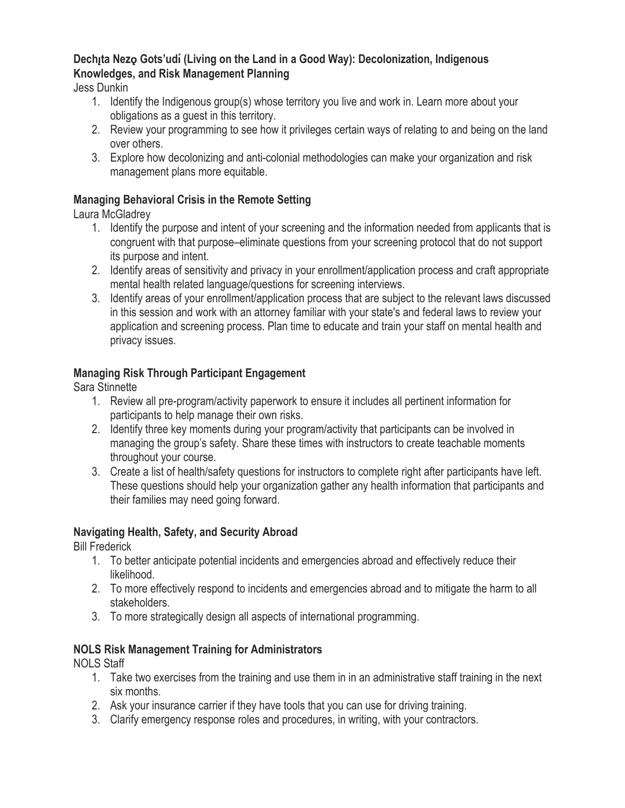#### **Dech<sub>i</sub>ta Nezo Gots'udí (Living on the Land in a Good Way): Decolonization, Indigenous Knowledges, and Risk Management Planning**

Jess Dunkin

- 1. Identify the Indigenous group(s) whose territory you live and work in. Learn more about your obligations as a guest in this territory.
- 2. Review your programming to see how it privileges certain ways of relating to and being on the land over others.
- 3. Explore how decolonizing and anti-colonial methodologies can make your organization and risk management plans more equitable.

#### **Managing Behavioral Crisis in the Remote Setting**

Laura McGladrey

- 1. Identify the purpose and intent of your screening and the information needed from applicants that is congruent with that purpose–eliminate questions from your screening protocol that do not support its purpose and intent.
- 2. Identify areas of sensitivity and privacy in your enrollment/application process and craft appropriate mental health related language/questions for screening interviews.
- 3. Identify areas of your enrollment/application process that are subject to the relevant laws discussed in this session and work with an attorney familiar with your state's and federal laws to review your application and screening process. Plan time to educate and train your staff on mental health and privacy issues.

## **Managing Risk Through Participant Engagement**

Sara Stinnette

- 1. Review all pre-program/activity paperwork to ensure it includes all pertinent information for participants to help manage their own risks.
- 2. Identify three key moments during your program/activity that participants can be involved in managing the group's safety. Share these times with instructors to create teachable moments throughout your course.
- 3. Create a list of health/safety questions for instructors to complete right after participants have left. These questions should help your organization gather any health information that participants and their families may need going forward.

#### **Navigating Health, Safety, and Security Abroad**

Bill Frederick

- 1. To better anticipate potential incidents and emergencies abroad and effectively reduce their likelihood.
- 2. To more effectively respond to incidents and emergencies abroad and to mitigate the harm to all stakeholders.
- 3. To more strategically design all aspects of international programming.

#### **NOLS Risk Management Training for Administrators**

NOLS Staff

- 1. Take two exercises from the training and use them in in an administrative staff training in the next six months.
- 2. Ask your insurance carrier if they have tools that you can use for driving training.
- 3. Clarify emergency response roles and procedures, in writing, with your contractors.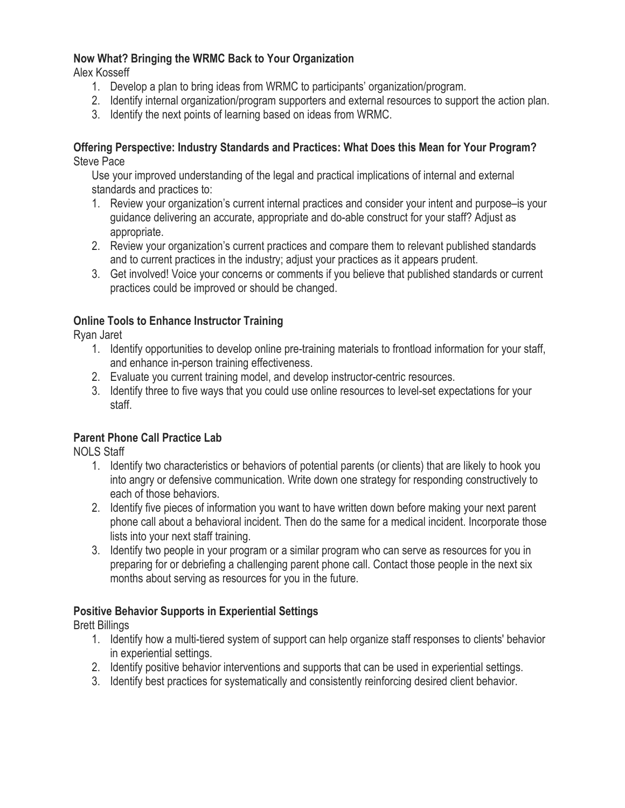#### **Now What? Bringing the WRMC Back to Your Organization**

Alex Kosseff

- 1. Develop a plan to bring ideas from WRMC to participants' organization/program.
- 2. Identify internal organization/program supporters and external resources to support the action plan.
- 3. Identify the next points of learning based on ideas from WRMC.

#### **Offering Perspective: Industry Standards and Practices: What Does this Mean for Your Program?** Steve Pace

Use your improved understanding of the legal and practical implications of internal and external standards and practices to:

- 1. Review your organization's current internal practices and consider your intent and purpose–is your guidance delivering an accurate, appropriate and do-able construct for your staff? Adjust as appropriate.
- 2. Review your organization's current practices and compare them to relevant published standards and to current practices in the industry; adjust your practices as it appears prudent.
- 3. Get involved! Voice your concerns or comments if you believe that published standards or current practices could be improved or should be changed.

#### **Online Tools to Enhance Instructor Training**

Ryan Jaret

- 1. Identify opportunities to develop online pre-training materials to frontload information for your staff, and enhance in-person training effectiveness.
- 2. Evaluate you current training model, and develop instructor-centric resources.
- 3. Identify three to five ways that you could use online resources to level-set expectations for your staff.

#### **Parent Phone Call Practice Lab**

NOLS Staff

- 1. Identify two characteristics or behaviors of potential parents (or clients) that are likely to hook you into angry or defensive communication. Write down one strategy for responding constructively to each of those behaviors.
- 2. Identify five pieces of information you want to have written down before making your next parent phone call about a behavioral incident. Then do the same for a medical incident. Incorporate those lists into your next staff training.
- 3. Identify two people in your program or a similar program who can serve as resources for you in preparing for or debriefing a challenging parent phone call. Contact those people in the next six months about serving as resources for you in the future.

#### **Positive Behavior Supports in Experiential Settings**

Brett Billings

- 1. Identify how a multi-tiered system of support can help organize staff responses to clients' behavior in experiential settings.
- 2. Identify positive behavior interventions and supports that can be used in experiential settings.
- 3. Identify best practices for systematically and consistently reinforcing desired client behavior.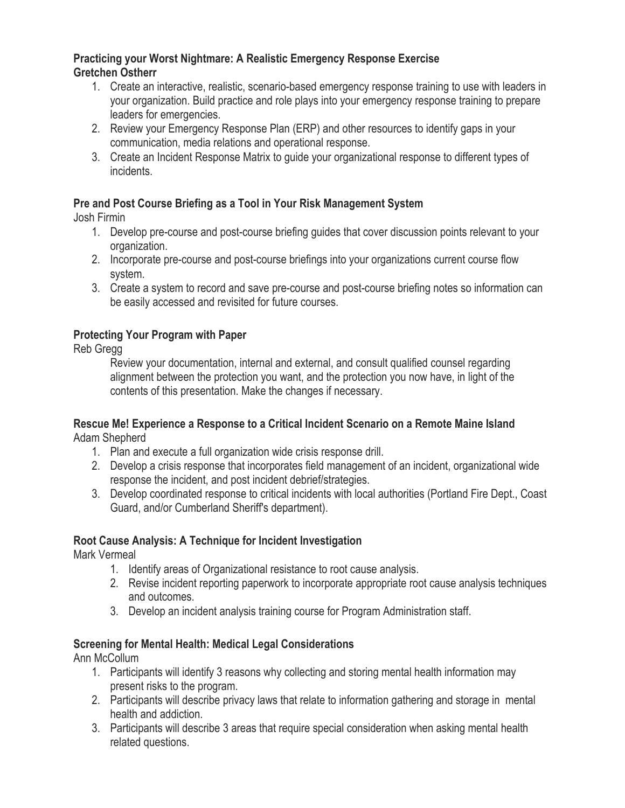#### **Practicing your Worst Nightmare: A Realistic Emergency Response Exercise Gretchen Ostherr**

- 1. Create an interactive, realistic, scenario-based emergency response training to use with leaders in your organization. Build practice and role plays into your emergency response training to prepare leaders for emergencies.
- 2. Review your Emergency Response Plan (ERP) and other resources to identify gaps in your communication, media relations and operational response.
- 3. Create an Incident Response Matrix to guide your organizational response to different types of incidents.

#### **Pre and Post Course Briefing as a Tool in Your Risk Management System**

Josh Firmin

- 1. Develop pre-course and post-course briefing guides that cover discussion points relevant to your organization.
- 2. Incorporate pre-course and post-course briefings into your organizations current course flow system.
- 3. Create a system to record and save pre-course and post-course briefing notes so information can be easily accessed and revisited for future courses.

#### **Protecting Your Program with Paper**

Reb Gregg

Review your documentation, internal and external, and consult qualified counsel regarding alignment between the protection you want, and the protection you now have, in light of the contents of this presentation. Make the changes if necessary.

#### **Rescue Me! Experience a Response to a Critical Incident Scenario on a Remote Maine Island** Adam Shepherd

1. Plan and execute a full organization wide crisis response drill.

- 2. Develop a crisis response that incorporates field management of an incident, organizational wide response the incident, and post incident debrief/strategies.
- 3. Develop coordinated response to critical incidents with local authorities (Portland Fire Dept., Coast Guard, and/or Cumberland Sheriff's department).

#### **Root Cause Analysis: A Technique for Incident Investigation**

Mark Vermeal

- 1. Identify areas of Organizational resistance to root cause analysis.
- 2. Revise incident reporting paperwork to incorporate appropriate root cause analysis techniques and outcomes.
- 3. Develop an incident analysis training course for Program Administration staff.

#### **Screening for Mental Health: Medical Legal Considerations**

Ann McCollum

- 1. Participants will identify 3 reasons why collecting and storing mental health information may present risks to the program.
- 2. Participants will describe privacy laws that relate to information gathering and storage in mental health and addiction.
- 3. Participants will describe 3 areas that require special consideration when asking mental health related questions.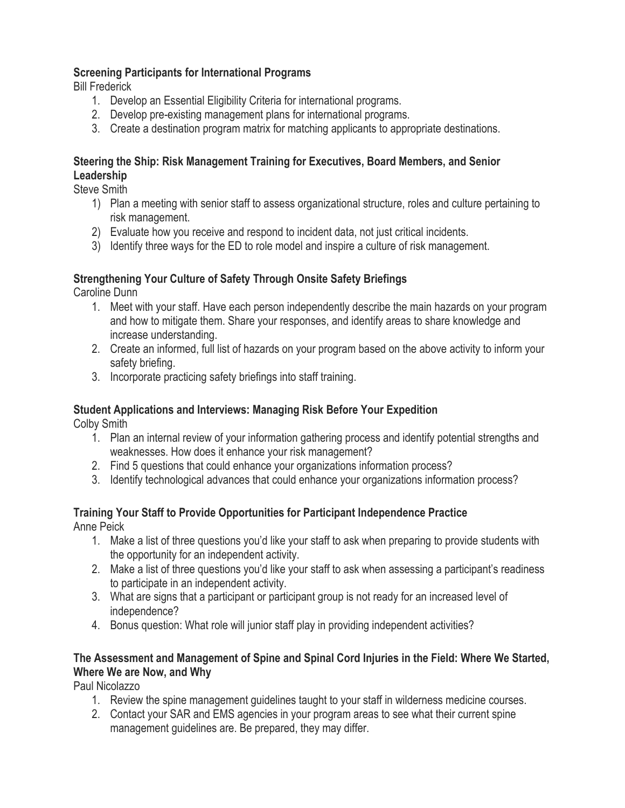#### **Screening Participants for International Programs**

Bill Frederick

- 1. Develop an Essential Eligibility Criteria for international programs.
- 2. Develop pre-existing management plans for international programs.
- 3. Create a destination program matrix for matching applicants to appropriate destinations.

#### **Steering the Ship: Risk Management Training for Executives, Board Members, and Senior Leadership**

Steve Smith

- 1) Plan a meeting with senior staff to assess organizational structure, roles and culture pertaining to risk management.
- 2) Evaluate how you receive and respond to incident data, not just critical incidents.
- 3) Identify three ways for the ED to role model and inspire a culture of risk management.

#### **Strengthening Your Culture of Safety Through Onsite Safety Briefings**

Caroline Dunn

- 1. Meet with your staff. Have each person independently describe the main hazards on your program and how to mitigate them. Share your responses, and identify areas to share knowledge and increase understanding.
- 2. Create an informed, full list of hazards on your program based on the above activity to inform your safety briefing.
- 3. Incorporate practicing safety briefings into staff training.

#### **Student Applications and Interviews: Managing Risk Before Your Expedition**

Colby Smith

- 1. Plan an internal review of your information gathering process and identify potential strengths and weaknesses. How does it enhance your risk management?
- 2. Find 5 questions that could enhance your organizations information process?
- 3. Identify technological advances that could enhance your organizations information process?

## **Training Your Staff to Provide Opportunities for Participant Independence Practice**

Anne Peick

- 1. Make a list of three questions you'd like your staff to ask when preparing to provide students with the opportunity for an independent activity.
- 2. Make a list of three questions you'd like your staff to ask when assessing a participant's readiness to participate in an independent activity.
- 3. What are signs that a participant or participant group is not ready for an increased level of independence?
- 4. Bonus question: What role will junior staff play in providing independent activities?

## **The Assessment and Management of Spine and Spinal Cord Injuries in the Field: Where We Started, Where We are Now, and Why**

Paul Nicolazzo

- 1. Review the spine management guidelines taught to your staff in wilderness medicine courses.
- 2. Contact your SAR and EMS agencies in your program areas to see what their current spine management guidelines are. Be prepared, they may differ.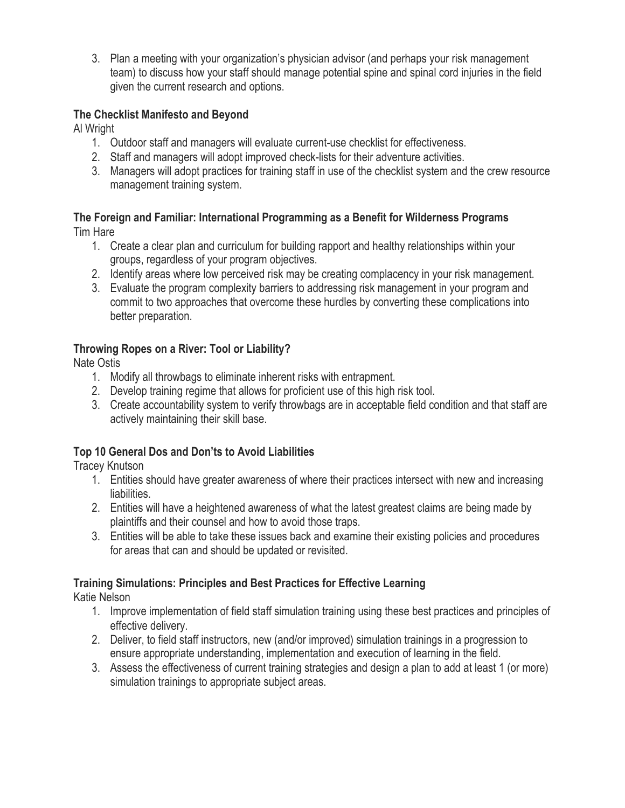3. Plan a meeting with your organization's physician advisor (and perhaps your risk management team) to discuss how your staff should manage potential spine and spinal cord injuries in the field given the current research and options.

#### **The Checklist Manifesto and Beyond**

Al Wright

- 1. Outdoor staff and managers will evaluate current-use checklist for effectiveness.
- 2. Staff and managers will adopt improved check-lists for their adventure activities.
- 3. Managers will adopt practices for training staff in use of the checklist system and the crew resource management training system.

#### **The Foreign and Familiar: International Programming as a Benefit for Wilderness Programs**  Tim Hare

- 1. Create a clear plan and curriculum for building rapport and healthy relationships within your groups, regardless of your program objectives.
- 2. Identify areas where low perceived risk may be creating complacency in your risk management.
- 3. Evaluate the program complexity barriers to addressing risk management in your program and commit to two approaches that overcome these hurdles by converting these complications into better preparation.

#### **Throwing Ropes on a River: Tool or Liability?**

Nate Ostis

- 1. Modify all throwbags to eliminate inherent risks with entrapment.
- 2. Develop training regime that allows for proficient use of this high risk tool.
- 3. Create accountability system to verify throwbags are in acceptable field condition and that staff are actively maintaining their skill base.

#### **Top 10 General Dos and Don'ts to Avoid Liabilities**

Tracey Knutson

- 1. Entities should have greater awareness of where their practices intersect with new and increasing liabilities.
- 2. Entities will have a heightened awareness of what the latest greatest claims are being made by plaintiffs and their counsel and how to avoid those traps.
- 3. Entities will be able to take these issues back and examine their existing policies and procedures for areas that can and should be updated or revisited.

#### **Training Simulations: Principles and Best Practices for Effective Learning**

Katie Nelson

- 1. Improve implementation of field staff simulation training using these best practices and principles of effective delivery.
- 2. Deliver, to field staff instructors, new (and/or improved) simulation trainings in a progression to ensure appropriate understanding, implementation and execution of learning in the field.
- 3. Assess the effectiveness of current training strategies and design a plan to add at least 1 (or more) simulation trainings to appropriate subject areas.